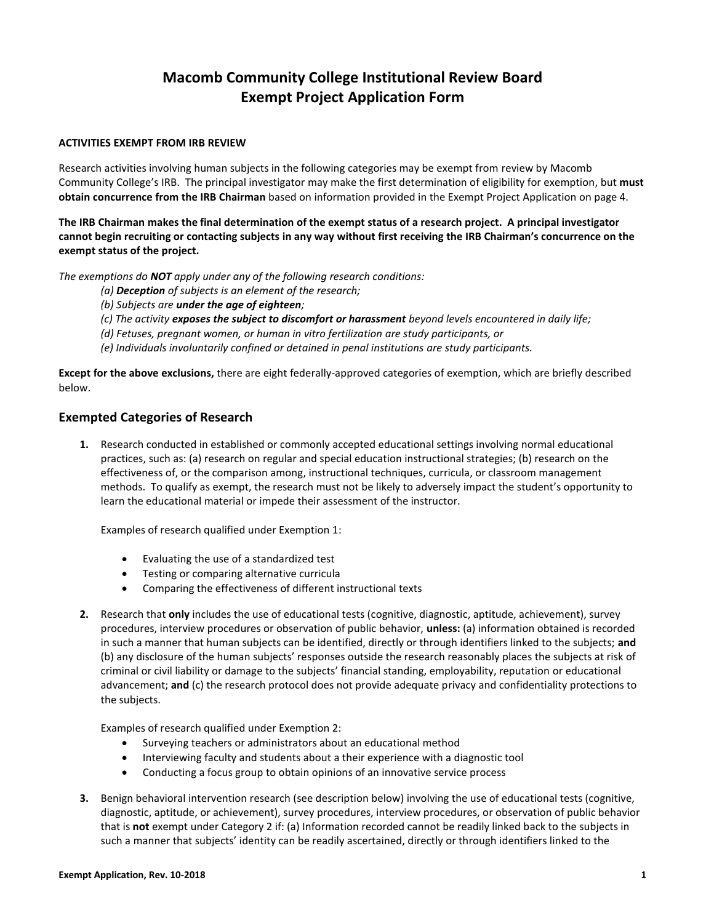# **Macomb Community College Institutional Review Board Exempt Project Application Form**

#### **ACTIVITIES EXEMPT FROM IRB REVIEW**

Research activities involving human subjects in the following categories may be exempt from review by Macomb Community College's IRB. The principal investigator may make the first determination of eligibility for exemption, but **must obtain concurrence from the IRB Chairman** based on information provided in the Exempt Project Application on page 4.

**The IRB Chairman makes the final determination of the exempt status of a research project. A principal investigator cannot begin recruiting or contacting subjects in any way without first receiving the IRB Chairman's concurrence on the exempt status of the project.**

*The exemptions do NOT apply under any of the following research conditions:*

- *(a) Deception of subjects is an element of the research;*
- *(b) Subjects are under the age of eighteen;*
- *(c) The activity exposes the subject to discomfort or harassment beyond levels encountered in daily life;*
- *(d) Fetuses, pregnant women, or human in vitro fertilization are study participants, or*

*(e) Individuals involuntarily confined or detained in penal institutions are study participants.*

**Except for the above exclusions,** there are eight federally-approved categories of exemption, which are briefly described below.

#### **Exempted Categories of Research**

**1.** Research conducted in established or commonly accepted educational settings involving normal educational practices, such as: (a) research on regular and special education instructional strategies; (b) research on the effectiveness of, or the comparison among, instructional techniques, curricula, or classroom management methods. To qualify as exempt, the research must not be likely to adversely impact the student's opportunity to learn the educational material or impede their assessment of the instructor.

Examples of research qualified under Exemption 1:

- Evaluating the use of a standardized test
- Testing or comparing alternative curricula
- Comparing the effectiveness of different instructional texts
- **2.** Research that **only** includes the use of educational tests (cognitive, diagnostic, aptitude, achievement), survey procedures, interview procedures or observation of public behavior, **unless:** (a) information obtained is recorded in such a manner that human subjects can be identified, directly or through identifiers linked to the subjects; **and** (b) any disclosure of the human subjects' responses outside the research reasonably places the subjects at risk of criminal or civil liability or damage to the subjects' financial standing, employability, reputation or educational advancement; **and** (c) the research protocol does not provide adequate privacy and confidentiality protections to the subjects.

Examples of research qualified under Exemption 2:

- Surveying teachers or administrators about an educational method
- Interviewing faculty and students about a their experience with a diagnostic tool
- Conducting a focus group to obtain opinions of an innovative service process
- **3.** Benign behavioral intervention research (see description below) involving the use of educational tests (cognitive, diagnostic, aptitude, or achievement), survey procedures, interview procedures, or observation of public behavior that is **not** exempt under Category 2 if: (a) Information recorded cannot be readily linked back to the subjects in such a manner that subjects' identity can be readily ascertained, directly or through identifiers linked to the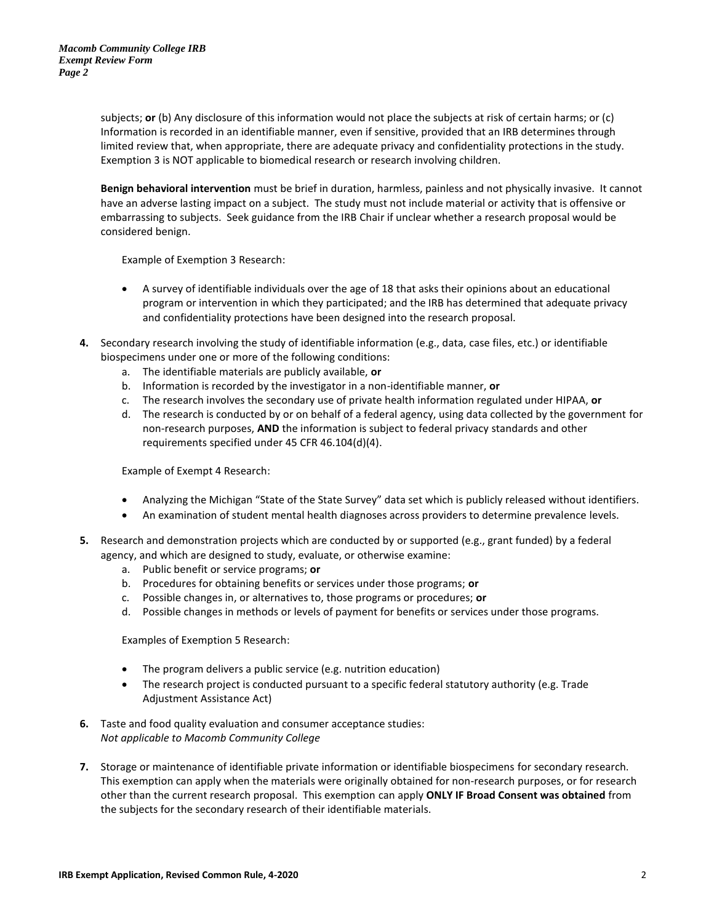subjects; **or** (b) Any disclosure of this information would not place the subjects at risk of certain harms; or (c) Information is recorded in an identifiable manner, even if sensitive, provided that an IRB determines through limited review that, when appropriate, there are adequate privacy and confidentiality protections in the study. Exemption 3 is NOT applicable to biomedical research or research involving children.

**Benign behavioral intervention** must be brief in duration, harmless, painless and not physically invasive. It cannot have an adverse lasting impact on a subject. The study must not include material or activity that is offensive or embarrassing to subjects. Seek guidance from the IRB Chair if unclear whether a research proposal would be considered benign.

Example of Exemption 3 Research:

- A survey of identifiable individuals over the age of 18 that asks their opinions about an educational program or intervention in which they participated; and the IRB has determined that adequate privacy and confidentiality protections have been designed into the research proposal.
- **4.** Secondary research involving the study of identifiable information (e.g., data, case files, etc.) or identifiable biospecimens under one or more of the following conditions:
	- a. The identifiable materials are publicly available, **or**
	- b. Information is recorded by the investigator in a non-identifiable manner, **or**
	- c. The research involves the secondary use of private health information regulated under HIPAA, **or**
	- d. The research is conducted by or on behalf of a federal agency, using data collected by the government for non-research purposes, **AND** the information is subject to federal privacy standards and other requirements specified under 45 CFR 46.104(d)(4).

Example of Exempt 4 Research:

- Analyzing the Michigan "State of the State Survey" data set which is publicly released without identifiers.
- An examination of student mental health diagnoses across providers to determine prevalence levels.
- **5.** Research and demonstration projects which are conducted by or supported (e.g., grant funded) by a federal agency, and which are designed to study, evaluate, or otherwise examine:
	- a. Public benefit or service programs; **or**
	- b. Procedures for obtaining benefits or services under those programs; **or**
	- c. Possible changes in, or alternatives to, those programs or procedures; **or**
	- d. Possible changes in methods or levels of payment for benefits or services under those programs.

Examples of Exemption 5 Research:

- The program delivers a public service (e.g. nutrition education)
- The research project is conducted pursuant to a specific federal statutory authority (e.g. Trade Adjustment Assistance Act)
- **6.** Taste and food quality evaluation and consumer acceptance studies: *Not applicable to Macomb Community College*
- **7.** Storage or maintenance of identifiable private information or identifiable biospecimens for secondary research. This exemption can apply when the materials were originally obtained for non-research purposes, or for research other than the current research proposal. This exemption can apply **ONLY IF Broad Consent was obtained** from the subjects for the secondary research of their identifiable materials.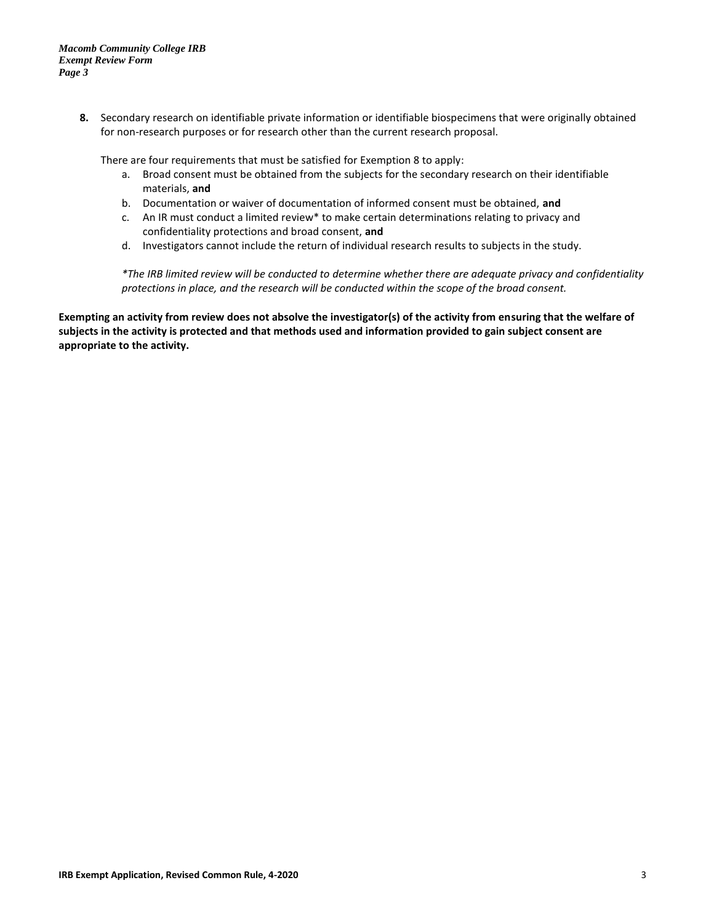**8.** Secondary research on identifiable private information or identifiable biospecimens that were originally obtained for non-research purposes or for research other than the current research proposal.

There are four requirements that must be satisfied for Exemption 8 to apply:

- a. Broad consent must be obtained from the subjects for the secondary research on their identifiable materials, **and**
- b. Documentation or waiver of documentation of informed consent must be obtained, **and**
- c. An IR must conduct a limited review\* to make certain determinations relating to privacy and confidentiality protections and broad consent, **and**
- d. Investigators cannot include the return of individual research results to subjects in the study.

*\*The IRB limited review will be conducted to determine whether there are adequate privacy and confidentiality protections in place, and the research will be conducted within the scope of the broad consent.*

**Exempting an activity from review does not absolve the investigator(s) of the activity from ensuring that the welfare of subjects in the activity is protected and that methods used and information provided to gain subject consent are appropriate to the activity.**